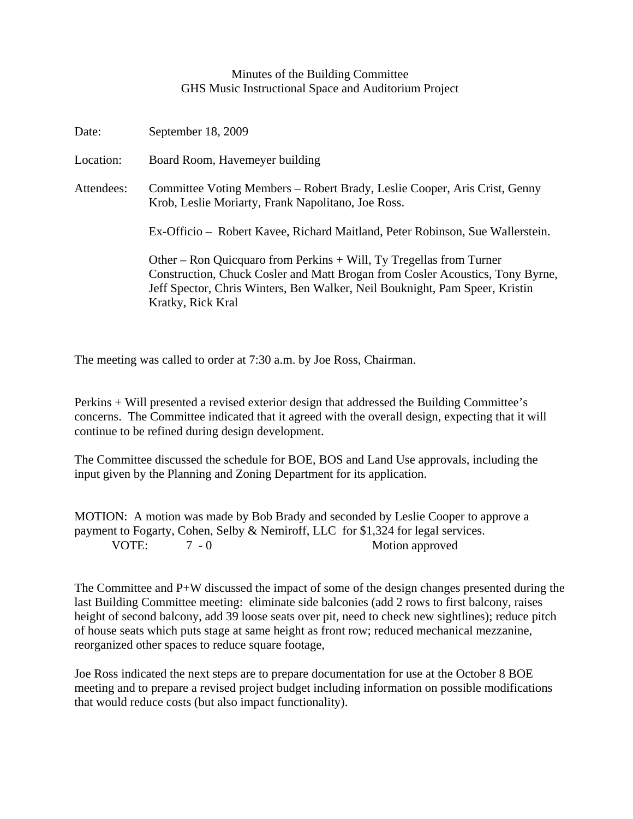## Minutes of the Building Committee GHS Music Instructional Space and Auditorium Project

| Date:      | September 18, 2009                                                                                                                                                                                                                                       |
|------------|----------------------------------------------------------------------------------------------------------------------------------------------------------------------------------------------------------------------------------------------------------|
| Location:  | Board Room, Havemeyer building                                                                                                                                                                                                                           |
| Attendees: | Committee Voting Members – Robert Brady, Leslie Cooper, Aris Crist, Genny<br>Krob, Leslie Moriarty, Frank Napolitano, Joe Ross.                                                                                                                          |
|            | Ex-Officio – Robert Kavee, Richard Maitland, Peter Robinson, Sue Wallerstein.                                                                                                                                                                            |
|            | Other – Ron Quicquaro from Perkins + Will, Ty Tregellas from Turner<br>Construction, Chuck Cosler and Matt Brogan from Cosler Acoustics, Tony Byrne,<br>Jeff Spector, Chris Winters, Ben Walker, Neil Bouknight, Pam Speer, Kristin<br>Kratky, Rick Kral |

The meeting was called to order at 7:30 a.m. by Joe Ross, Chairman.

Perkins + Will presented a revised exterior design that addressed the Building Committee's concerns. The Committee indicated that it agreed with the overall design, expecting that it will continue to be refined during design development.

The Committee discussed the schedule for BOE, BOS and Land Use approvals, including the input given by the Planning and Zoning Department for its application.

MOTION: A motion was made by Bob Brady and seconded by Leslie Cooper to approve a payment to Fogarty, Cohen, Selby & Nemiroff, LLC for \$1,324 for legal services. VOTE: 7 - 0 Motion approved

The Committee and P+W discussed the impact of some of the design changes presented during the last Building Committee meeting: eliminate side balconies (add 2 rows to first balcony, raises height of second balcony, add 39 loose seats over pit, need to check new sightlines); reduce pitch of house seats which puts stage at same height as front row; reduced mechanical mezzanine, reorganized other spaces to reduce square footage,

Joe Ross indicated the next steps are to prepare documentation for use at the October 8 BOE meeting and to prepare a revised project budget including information on possible modifications that would reduce costs (but also impact functionality).